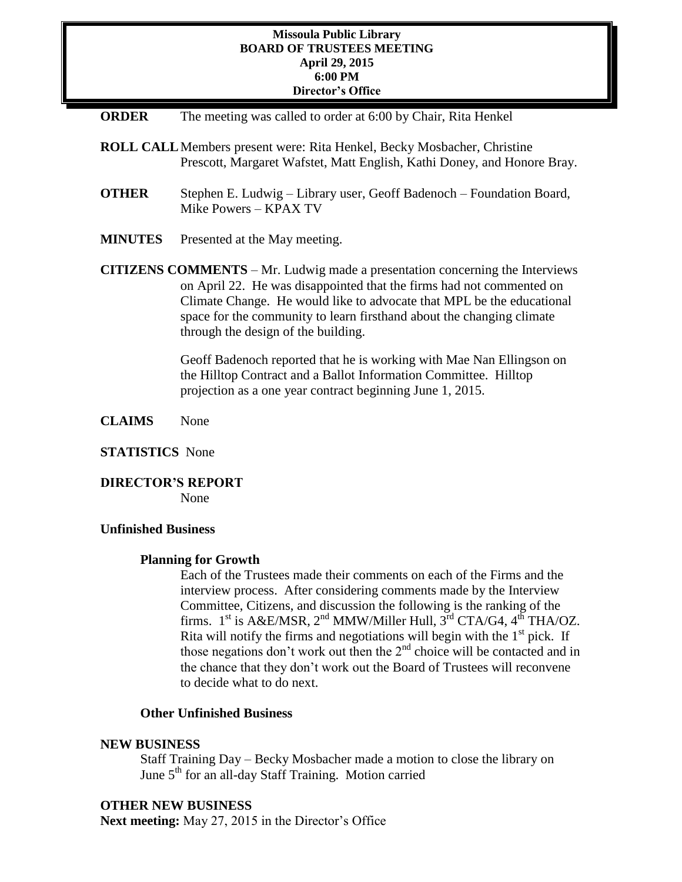## **Missoula Public Library BOARD OF TRUSTEES MEETING April 29, 2015 6:00 PM Director's Office**

| <b>ORDER</b>   | The meeting was called to order at 6:00 by Chair, Rita Henkel                                                                                                                                                                                                                                                                                                                                                                |
|----------------|------------------------------------------------------------------------------------------------------------------------------------------------------------------------------------------------------------------------------------------------------------------------------------------------------------------------------------------------------------------------------------------------------------------------------|
|                | <b>ROLL CALL Members present were: Rita Henkel, Becky Mosbacher, Christine</b><br>Prescott, Margaret Wafstet, Matt English, Kathi Doney, and Honore Bray.                                                                                                                                                                                                                                                                    |
| <b>OTHER</b>   | Stephen E. Ludwig - Library user, Geoff Badenoch - Foundation Board,<br>Mike Powers – KPAX TV                                                                                                                                                                                                                                                                                                                                |
| <b>MINUTES</b> | Presented at the May meeting.                                                                                                                                                                                                                                                                                                                                                                                                |
|                | <b>CITIZENS COMMENTS</b> – Mr. Ludwig made a presentation concerning the Interviews<br>on April 22. He was disappointed that the firms had not commented on<br>Climate Change. He would like to advocate that MPL be the educational<br>space for the community to learn firsthand about the changing climate<br>through the design of the building.<br>Geoff Badenoch reported that he is working with Mae Nan Ellingson on |

Geoff Badenoch reported that he is working with Mae Nan Ellingson on the Hilltop Contract and a Ballot Information Committee. Hilltop projection as a one year contract beginning June 1, 2015.

**CLAIMS** None

## **STATISTICS** None

**DIRECTOR'S REPORT** None

# **Unfinished Business**

## **Planning for Growth**

Each of the Trustees made their comments on each of the Firms and the interview process. After considering comments made by the Interview Committee, Citizens, and discussion the following is the ranking of the firms.  $1<sup>st</sup>$  is A&E/MSR,  $2<sup>nd</sup>$  MMW/Miller Hull,  $3<sup>rd</sup>$  CTA/G4,  $4<sup>th</sup>$  THA/OZ. Rita will notify the firms and negotiations will begin with the  $1<sup>st</sup>$  pick. If those negations don't work out then the  $2<sup>nd</sup>$  choice will be contacted and in the chance that they don't work out the Board of Trustees will reconvene to decide what to do next.

# **Other Unfinished Business**

## **NEW BUSINESS**

Staff Training Day – Becky Mosbacher made a motion to close the library on June 5<sup>th</sup> for an all-day Staff Training. Motion carried

# **OTHER NEW BUSINESS**

**Next meeting:** May 27, 2015 in the Director's Office